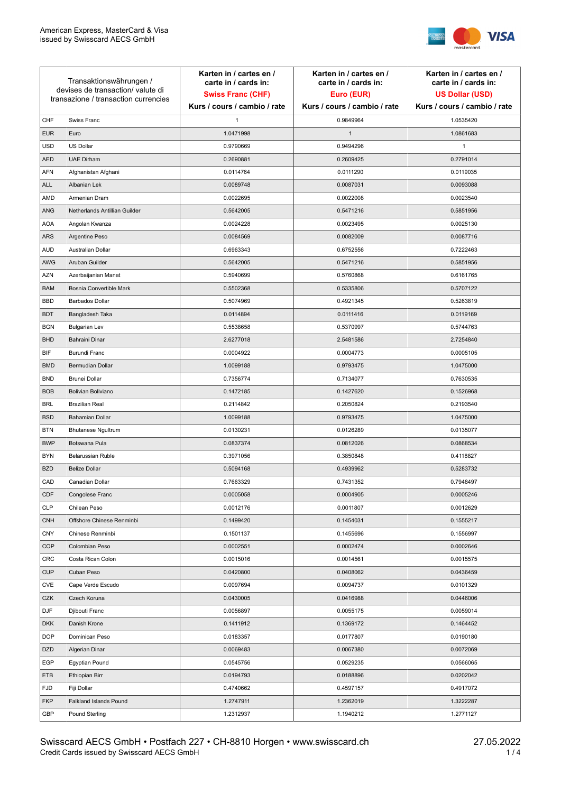

| Transaktionswährungen /<br>devises de transaction/valute di<br>transazione / transaction currencies |                               | Karten in / cartes en /<br>carte in / cards in:<br><b>Swiss Franc (CHF)</b> | Karten in / cartes en /<br>carte in / cards in:<br>Euro (EUR) | Karten in / cartes en /<br>carte in / cards in:<br><b>US Dollar (USD)</b> |
|-----------------------------------------------------------------------------------------------------|-------------------------------|-----------------------------------------------------------------------------|---------------------------------------------------------------|---------------------------------------------------------------------------|
|                                                                                                     |                               | Kurs / cours / cambio / rate                                                | Kurs / cours / cambio / rate                                  | Kurs / cours / cambio / rate                                              |
| CHF                                                                                                 | Swiss Franc                   | 1                                                                           | 0.9849964                                                     | 1.0535420                                                                 |
| <b>EUR</b>                                                                                          | Euro                          | 1.0471998                                                                   | $\mathbf{1}$                                                  | 1.0861683                                                                 |
| <b>USD</b>                                                                                          | <b>US Dollar</b>              | 0.9790669                                                                   | 0.9494296                                                     | $\mathbf{1}$                                                              |
| <b>AED</b>                                                                                          | <b>UAE Dirham</b>             | 0.2690881                                                                   | 0.2609425                                                     | 0.2791014                                                                 |
| AFN                                                                                                 | Afghanistan Afghani           | 0.0114764                                                                   | 0.0111290                                                     | 0.0119035                                                                 |
| <b>ALL</b>                                                                                          | Albanian Lek                  | 0.0089748                                                                   | 0.0087031                                                     | 0.0093088                                                                 |
| AMD                                                                                                 | Armenian Dram                 | 0.0022695                                                                   | 0.0022008                                                     | 0.0023540                                                                 |
| <b>ANG</b>                                                                                          | Netherlands Antillian Guilder | 0.5642005                                                                   | 0.5471216                                                     | 0.5851956                                                                 |
| <b>AOA</b>                                                                                          | Angolan Kwanza                | 0.0024228                                                                   | 0.0023495                                                     | 0.0025130                                                                 |
| <b>ARS</b>                                                                                          | Argentine Peso                | 0.0084569                                                                   | 0.0082009                                                     | 0.0087716                                                                 |
| <b>AUD</b>                                                                                          | Australian Dollar             | 0.6963343                                                                   | 0.6752556                                                     | 0.7222463                                                                 |
| AWG                                                                                                 | Aruban Guilder                | 0.5642005                                                                   | 0.5471216                                                     | 0.5851956                                                                 |
| <b>AZN</b>                                                                                          | Azerbaijanian Manat           | 0.5940699                                                                   | 0.5760868                                                     | 0.6161765                                                                 |
| <b>BAM</b>                                                                                          | Bosnia Convertible Mark       | 0.5502368                                                                   | 0.5335806                                                     | 0.5707122                                                                 |
| <b>BBD</b>                                                                                          | <b>Barbados Dollar</b>        | 0.5074969                                                                   | 0.4921345                                                     | 0.5263819                                                                 |
| <b>BDT</b>                                                                                          | Bangladesh Taka               | 0.0114894                                                                   | 0.0111416                                                     | 0.0119169                                                                 |
| <b>BGN</b>                                                                                          | <b>Bulgarian Lev</b>          | 0.5538658                                                                   | 0.5370997                                                     | 0.5744763                                                                 |
| <b>BHD</b>                                                                                          | Bahraini Dinar                | 2.6277018                                                                   | 2.5481586                                                     | 2.7254840                                                                 |
| BIF                                                                                                 | Burundi Franc                 | 0.0004922                                                                   | 0.0004773                                                     | 0.0005105                                                                 |
| <b>BMD</b>                                                                                          | Bermudian Dollar              | 1.0099188                                                                   | 0.9793475                                                     | 1.0475000                                                                 |
| <b>BND</b>                                                                                          | <b>Brunei Dollar</b>          | 0.7356774                                                                   | 0.7134077                                                     | 0.7630535                                                                 |
| <b>BOB</b>                                                                                          | Bolivian Boliviano            | 0.1472185                                                                   | 0.1427620                                                     | 0.1526968                                                                 |
| <b>BRL</b>                                                                                          | <b>Brazilian Real</b>         | 0.2114842                                                                   | 0.2050824                                                     | 0.2193540                                                                 |
| <b>BSD</b>                                                                                          | <b>Bahamian Dollar</b>        | 1.0099188                                                                   | 0.9793475                                                     | 1.0475000                                                                 |
| <b>BTN</b>                                                                                          | <b>Bhutanese Ngultrum</b>     | 0.0130231                                                                   | 0.0126289                                                     | 0.0135077                                                                 |
| <b>BWP</b>                                                                                          | Botswana Pula                 | 0.0837374                                                                   | 0.0812026                                                     | 0.0868534                                                                 |
| <b>BYN</b>                                                                                          | Belarussian Ruble             | 0.3971056                                                                   | 0.3850848                                                     | 0.4118827                                                                 |
| <b>BZD</b>                                                                                          | <b>Belize Dollar</b>          | 0.5094168                                                                   | 0.4939962                                                     | 0.5283732                                                                 |
| CAD                                                                                                 | Canadian Dollar               | 0.7663329                                                                   | 0.7431352                                                     | 0.7948497                                                                 |
| CDF                                                                                                 | Congolese Franc               | 0.0005058                                                                   | 0.0004905                                                     | 0.0005246                                                                 |
| <b>CLP</b>                                                                                          | Chilean Peso                  | 0.0012176                                                                   | 0.0011807                                                     | 0.0012629                                                                 |
| <b>CNH</b>                                                                                          | Offshore Chinese Renminbi     | 0.1499420                                                                   | 0.1454031                                                     | 0.1555217                                                                 |
| <b>CNY</b>                                                                                          | Chinese Renminbi              | 0.1501137                                                                   | 0.1455696                                                     | 0.1556997                                                                 |
| <b>COP</b>                                                                                          | Colombian Peso                | 0.0002551                                                                   | 0.0002474                                                     | 0.0002646                                                                 |
| <b>CRC</b>                                                                                          | Costa Rican Colon             | 0.0015016                                                                   | 0.0014561                                                     | 0.0015575                                                                 |
| <b>CUP</b>                                                                                          | Cuban Peso                    | 0.0420800                                                                   | 0.0408062                                                     | 0.0436459                                                                 |
| CVE                                                                                                 | Cape Verde Escudo             | 0.0097694                                                                   | 0.0094737                                                     | 0.0101329                                                                 |
| CZK                                                                                                 | Czech Koruna                  | 0.0430005                                                                   | 0.0416988                                                     | 0.0446006                                                                 |
| <b>DJF</b>                                                                                          | Djibouti Franc                | 0.0056897                                                                   | 0.0055175                                                     | 0.0059014                                                                 |
| <b>DKK</b>                                                                                          | Danish Krone                  | 0.1411912                                                                   | 0.1369172                                                     | 0.1464452                                                                 |
| <b>DOP</b>                                                                                          | Dominican Peso                | 0.0183357                                                                   | 0.0177807                                                     | 0.0190180                                                                 |
| <b>DZD</b>                                                                                          | Algerian Dinar                | 0.0069483                                                                   | 0.0067380                                                     | 0.0072069                                                                 |
| EGP                                                                                                 | <b>Egyptian Pound</b>         | 0.0545756                                                                   | 0.0529235                                                     | 0.0566065                                                                 |
| ETB                                                                                                 | Ethiopian Birr                | 0.0194793                                                                   | 0.0188896                                                     | 0.0202042                                                                 |
| <b>FJD</b>                                                                                          | Fiji Dollar                   | 0.4740662                                                                   | 0.4597157                                                     | 0.4917072                                                                 |
| <b>FKP</b>                                                                                          | Falkland Islands Pound        | 1.2747911                                                                   | 1.2362019                                                     | 1.3222287                                                                 |
| GBP                                                                                                 | Pound Sterling                | 1.2312937                                                                   | 1.1940212                                                     | 1.2771127                                                                 |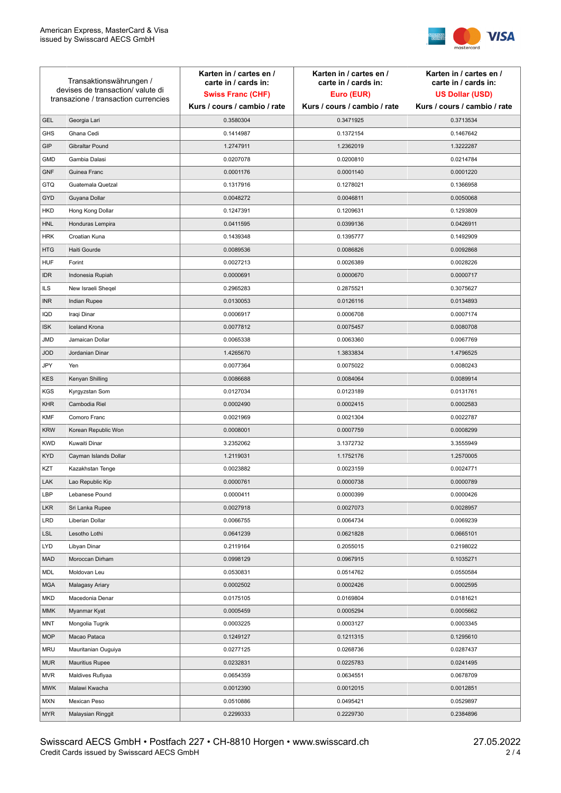

| Transaktionswährungen /<br>devises de transaction/valute di |                                      | Karten in / cartes en /<br>carte in / cards in: | Karten in / cartes en /<br>carte in / cards in: | Karten in / cartes en /<br>carte in / cards in: |
|-------------------------------------------------------------|--------------------------------------|-------------------------------------------------|-------------------------------------------------|-------------------------------------------------|
|                                                             |                                      | <b>Swiss Franc (CHF)</b>                        | Euro (EUR)                                      | <b>US Dollar (USD)</b>                          |
|                                                             | transazione / transaction currencies | Kurs / cours / cambio / rate                    | Kurs / cours / cambio / rate                    | Kurs / cours / cambio / rate                    |
| <b>GEL</b>                                                  | Georgia Lari                         | 0.3580304                                       | 0.3471925                                       | 0.3713534                                       |
| <b>GHS</b>                                                  | Ghana Cedi                           | 0.1414987                                       | 0.1372154                                       | 0.1467642                                       |
| GIP                                                         | Gibraltar Pound                      | 1.2747911                                       | 1.2362019                                       | 1.3222287                                       |
| <b>GMD</b>                                                  | Gambia Dalasi                        | 0.0207078                                       | 0.0200810                                       | 0.0214784                                       |
| <b>GNF</b>                                                  | Guinea Franc                         | 0.0001176                                       | 0.0001140                                       | 0.0001220                                       |
| <b>GTQ</b>                                                  | Guatemala Quetzal                    | 0.1317916                                       | 0.1278021                                       | 0.1366958                                       |
| GYD                                                         | Guyana Dollar                        | 0.0048272                                       | 0.0046811                                       | 0.0050068                                       |
| HKD                                                         | Hong Kong Dollar                     | 0.1247391                                       | 0.1209631                                       | 0.1293809                                       |
| <b>HNL</b>                                                  | Honduras Lempira                     | 0.0411595                                       | 0.0399136                                       | 0.0426911                                       |
| <b>HRK</b>                                                  | Croatian Kuna                        | 0.1439348                                       | 0.1395777                                       | 0.1492909                                       |
| <b>HTG</b>                                                  | Haiti Gourde                         | 0.0089536                                       | 0.0086826                                       | 0.0092868                                       |
| <b>HUF</b>                                                  | Forint                               | 0.0027213                                       | 0.0026389                                       | 0.0028226                                       |
| <b>IDR</b>                                                  | Indonesia Rupiah                     | 0.0000691                                       | 0.0000670                                       | 0.0000717                                       |
| <b>ILS</b>                                                  | New Israeli Sheqel                   | 0.2965283                                       | 0.2875521                                       | 0.3075627                                       |
| <b>INR</b>                                                  | Indian Rupee                         | 0.0130053                                       | 0.0126116                                       | 0.0134893                                       |
| IQD                                                         | Iraqi Dinar                          | 0.0006917                                       | 0.0006708                                       | 0.0007174                                       |
| <b>ISK</b>                                                  | <b>Iceland Krona</b>                 | 0.0077812                                       | 0.0075457                                       | 0.0080708                                       |
| <b>JMD</b>                                                  | Jamaican Dollar                      | 0.0065338                                       | 0.0063360                                       | 0.0067769                                       |
| <b>JOD</b>                                                  | Jordanian Dinar                      | 1.4265670                                       | 1.3833834                                       | 1.4796525                                       |
| JPY                                                         | Yen                                  | 0.0077364                                       | 0.0075022                                       | 0.0080243                                       |
| <b>KES</b>                                                  | Kenyan Shilling                      | 0.0086688                                       | 0.0084064                                       | 0.0089914                                       |
| <b>KGS</b>                                                  | Kyrgyzstan Som                       | 0.0127034                                       | 0.0123189                                       | 0.0131761                                       |
| <b>KHR</b>                                                  | Cambodia Riel                        | 0.0002490                                       | 0.0002415                                       | 0.0002583                                       |
| <b>KMF</b>                                                  | Comoro Franc                         | 0.0021969                                       | 0.0021304                                       | 0.0022787                                       |
| <b>KRW</b>                                                  | Korean Republic Won                  | 0.0008001                                       | 0.0007759                                       | 0.0008299                                       |
| <b>KWD</b>                                                  | Kuwaiti Dinar                        | 3.2352062                                       | 3.1372732                                       | 3.3555949                                       |
| <b>KYD</b>                                                  | Cayman Islands Dollar                | 1.2119031                                       | 1.1752176                                       | 1.2570005                                       |
| KZT                                                         | Kazakhstan Tenge                     | 0.0023882                                       | 0.0023159                                       | 0.0024771                                       |
| LAK                                                         | Lao Republic Kip                     | 0.0000761                                       | 0.0000738                                       | 0.0000789                                       |
| LBP                                                         | Lebanese Pound                       | 0.0000411                                       | 0.0000399                                       | 0.0000426                                       |
| <b>LKR</b>                                                  | Sri Lanka Rupee                      | 0.0027918                                       | 0.0027073                                       | 0.0028957                                       |
| <b>LRD</b>                                                  | Liberian Dollar                      | 0.0066755                                       | 0.0064734                                       | 0.0069239                                       |
| <b>LSL</b>                                                  | Lesotho Lothi                        | 0.0641239                                       | 0.0621828                                       | 0.0665101                                       |
| LYD                                                         | Libyan Dinar                         | 0.2119164                                       | 0.2055015                                       | 0.2198022                                       |
| <b>MAD</b>                                                  | Moroccan Dirham                      | 0.0998129                                       | 0.0967915                                       | 0.1035271                                       |
| MDL                                                         | Moldovan Leu                         | 0.0530831                                       | 0.0514762                                       | 0.0550584                                       |
| <b>MGA</b>                                                  | Malagasy Ariary                      | 0.0002502                                       | 0.0002426                                       | 0.0002595                                       |
| MKD                                                         | Macedonia Denar                      | 0.0175105                                       | 0.0169804                                       | 0.0181621                                       |
| <b>MMK</b>                                                  | Myanmar Kyat                         | 0.0005459                                       | 0.0005294                                       | 0.0005662                                       |
| <b>MNT</b>                                                  | Mongolia Tugrik                      | 0.0003225                                       | 0.0003127                                       | 0.0003345                                       |
| <b>MOP</b>                                                  | Macao Pataca                         | 0.1249127                                       | 0.1211315                                       | 0.1295610                                       |
| <b>MRU</b>                                                  | Mauritanian Ouguiya                  | 0.0277125                                       | 0.0268736                                       | 0.0287437                                       |
| <b>MUR</b>                                                  | <b>Mauritius Rupee</b>               | 0.0232831                                       | 0.0225783                                       | 0.0241495                                       |
| <b>MVR</b>                                                  | Maldives Rufiyaa                     | 0.0654359                                       | 0.0634551                                       | 0.0678709                                       |
| <b>MWK</b>                                                  | Malawi Kwacha                        | 0.0012390                                       | 0.0012015                                       | 0.0012851                                       |
| MXN                                                         | Mexican Peso                         | 0.0510886                                       | 0.0495421                                       | 0.0529897                                       |
| <b>MYR</b>                                                  | Malaysian Ringgit                    | 0.2299333                                       | 0.2229730                                       | 0.2384896                                       |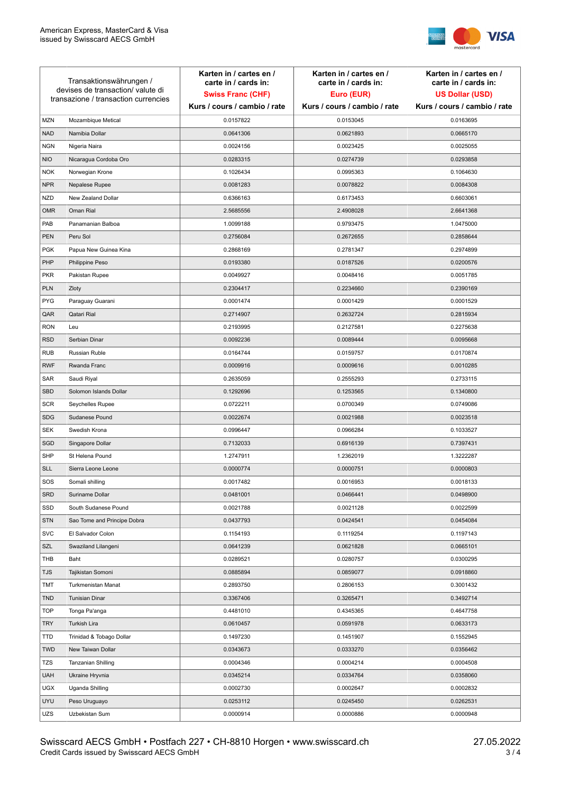

| Transaktionswährungen /<br>devises de transaction/valute di<br>transazione / transaction currencies |                             | Karten in / cartes en /<br>carte in / cards in:<br><b>Swiss Franc (CHF)</b><br>Kurs / cours / cambio / rate | Karten in / cartes en /<br>carte in / cards in:<br>Euro (EUR)<br>Kurs / cours / cambio / rate | Karten in / cartes en /<br>carte in / cards in:<br><b>US Dollar (USD)</b><br>Kurs / cours / cambio / rate |
|-----------------------------------------------------------------------------------------------------|-----------------------------|-------------------------------------------------------------------------------------------------------------|-----------------------------------------------------------------------------------------------|-----------------------------------------------------------------------------------------------------------|
|                                                                                                     |                             |                                                                                                             |                                                                                               |                                                                                                           |
| <b>MZN</b>                                                                                          | Mozambique Metical          | 0.0157822                                                                                                   | 0.0153045                                                                                     | 0.0163695                                                                                                 |
| <b>NAD</b>                                                                                          | Namibia Dollar              | 0.0641306                                                                                                   | 0.0621893                                                                                     | 0.0665170                                                                                                 |
| <b>NGN</b>                                                                                          | Nigeria Naira               | 0.0024156                                                                                                   | 0.0023425                                                                                     | 0.0025055                                                                                                 |
| <b>NIO</b>                                                                                          | Nicaragua Cordoba Oro       | 0.0283315                                                                                                   | 0.0274739                                                                                     | 0.0293858                                                                                                 |
| <b>NOK</b>                                                                                          | Norwegian Krone             | 0.1026434                                                                                                   | 0.0995363                                                                                     | 0.1064630                                                                                                 |
| <b>NPR</b>                                                                                          | Nepalese Rupee              | 0.0081283                                                                                                   | 0.0078822                                                                                     | 0.0084308                                                                                                 |
| <b>NZD</b>                                                                                          | New Zealand Dollar          | 0.6366163                                                                                                   | 0.6173453                                                                                     | 0.6603061                                                                                                 |
| <b>OMR</b>                                                                                          | Oman Rial                   | 2.5685556                                                                                                   | 2.4908028                                                                                     | 2.6641368                                                                                                 |
| PAB                                                                                                 | Panamanian Balboa           | 1.0099188                                                                                                   | 0.9793475                                                                                     | 1.0475000                                                                                                 |
| <b>PEN</b>                                                                                          | Peru Sol                    | 0.2756084                                                                                                   | 0.2672655                                                                                     | 0.2858644                                                                                                 |
| <b>PGK</b>                                                                                          | Papua New Guinea Kina       | 0.2868169                                                                                                   | 0.2781347                                                                                     | 0.2974899                                                                                                 |
| PHP                                                                                                 | Philippine Peso             | 0.0193380                                                                                                   | 0.0187526                                                                                     | 0.0200576                                                                                                 |
| <b>PKR</b>                                                                                          | Pakistan Rupee              | 0.0049927                                                                                                   | 0.0048416                                                                                     | 0.0051785                                                                                                 |
| <b>PLN</b>                                                                                          | Zloty                       | 0.2304417                                                                                                   | 0.2234660                                                                                     | 0.2390169                                                                                                 |
| <b>PYG</b>                                                                                          | Paraguay Guarani            | 0.0001474                                                                                                   | 0.0001429                                                                                     | 0.0001529                                                                                                 |
| QAR                                                                                                 | Qatari Rial                 | 0.2714907                                                                                                   | 0.2632724                                                                                     | 0.2815934                                                                                                 |
| <b>RON</b>                                                                                          | Leu                         | 0.2193995                                                                                                   | 0.2127581                                                                                     | 0.2275638                                                                                                 |
| <b>RSD</b>                                                                                          | Serbian Dinar               | 0.0092236                                                                                                   | 0.0089444                                                                                     | 0.0095668                                                                                                 |
| <b>RUB</b>                                                                                          | Russian Ruble               | 0.0164744                                                                                                   | 0.0159757                                                                                     | 0.0170874                                                                                                 |
| <b>RWF</b>                                                                                          | Rwanda Franc                | 0.0009916                                                                                                   | 0.0009616                                                                                     | 0.0010285                                                                                                 |
| SAR                                                                                                 | Saudi Riyal                 | 0.2635059                                                                                                   | 0.2555293                                                                                     | 0.2733115                                                                                                 |
| SBD                                                                                                 | Solomon Islands Dollar      | 0.1292696                                                                                                   | 0.1253565                                                                                     | 0.1340800                                                                                                 |
| <b>SCR</b>                                                                                          | Seychelles Rupee            | 0.0722211                                                                                                   | 0.0700349                                                                                     | 0.0749086                                                                                                 |
| <b>SDG</b>                                                                                          | Sudanese Pound              | 0.0022674                                                                                                   | 0.0021988                                                                                     | 0.0023518                                                                                                 |
| <b>SEK</b>                                                                                          | Swedish Krona               | 0.0996447                                                                                                   | 0.0966284                                                                                     | 0.1033527                                                                                                 |
| SGD                                                                                                 | Singapore Dollar            | 0.7132033                                                                                                   | 0.6916139                                                                                     | 0.7397431                                                                                                 |
| <b>SHP</b>                                                                                          | St Helena Pound             | 1.2747911                                                                                                   | 1.2362019                                                                                     | 1.3222287                                                                                                 |
| <b>SLL</b>                                                                                          | Sierra Leone Leone          | 0.0000774                                                                                                   | 0.0000751                                                                                     | 0.0000803                                                                                                 |
| SOS                                                                                                 | Somali shilling             | 0.0017482                                                                                                   | 0.0016953                                                                                     | 0.0018133                                                                                                 |
| SRD                                                                                                 | Suriname Dollar             | 0.0481001                                                                                                   | 0.0466441                                                                                     | 0.0498900                                                                                                 |
| SSD                                                                                                 | South Sudanese Pound        | 0.0021788                                                                                                   | 0.0021128                                                                                     | 0.0022599                                                                                                 |
| <b>STN</b>                                                                                          | Sao Tome and Principe Dobra | 0.0437793                                                                                                   | 0.0424541                                                                                     | 0.0454084                                                                                                 |
| <b>SVC</b>                                                                                          | El Salvador Colon           | 0.1154193                                                                                                   | 0.1119254                                                                                     | 0.1197143                                                                                                 |
| SZL                                                                                                 | Swaziland Lilangeni         | 0.0641239                                                                                                   | 0.0621828                                                                                     | 0.0665101                                                                                                 |
| THB                                                                                                 | Baht                        | 0.0289521                                                                                                   | 0.0280757                                                                                     | 0.0300295                                                                                                 |
| TJS                                                                                                 | Tajikistan Somoni           | 0.0885894                                                                                                   | 0.0859077                                                                                     | 0.0918860                                                                                                 |
| <b>TMT</b>                                                                                          | Turkmenistan Manat          | 0.2893750                                                                                                   | 0.2806153                                                                                     | 0.3001432                                                                                                 |
| <b>TND</b>                                                                                          | <b>Tunisian Dinar</b>       | 0.3367406                                                                                                   | 0.3265471                                                                                     | 0.3492714                                                                                                 |
| <b>TOP</b>                                                                                          | Tonga Pa'anga               | 0.4481010                                                                                                   | 0.4345365                                                                                     | 0.4647758                                                                                                 |
| <b>TRY</b>                                                                                          | Turkish Lira                | 0.0610457                                                                                                   | 0.0591978                                                                                     | 0.0633173                                                                                                 |
| TTD                                                                                                 | Trinidad & Tobago Dollar    | 0.1497230                                                                                                   | 0.1451907                                                                                     | 0.1552945                                                                                                 |
| <b>TWD</b>                                                                                          | New Taiwan Dollar           | 0.0343673                                                                                                   | 0.0333270                                                                                     | 0.0356462                                                                                                 |
| <b>TZS</b>                                                                                          | Tanzanian Shilling          | 0.0004346                                                                                                   | 0.0004214                                                                                     | 0.0004508                                                                                                 |
| <b>UAH</b>                                                                                          | Ukraine Hryvnia             | 0.0345214                                                                                                   | 0.0334764                                                                                     | 0.0358060                                                                                                 |
| <b>UGX</b>                                                                                          | Uganda Shilling             | 0.0002730                                                                                                   | 0.0002647                                                                                     | 0.0002832                                                                                                 |
| <b>UYU</b>                                                                                          | Peso Uruguayo               | 0.0253112                                                                                                   | 0.0245450                                                                                     | 0.0262531                                                                                                 |
| UZS                                                                                                 | Uzbekistan Sum              | 0.0000914                                                                                                   | 0.0000886                                                                                     | 0.0000948                                                                                                 |